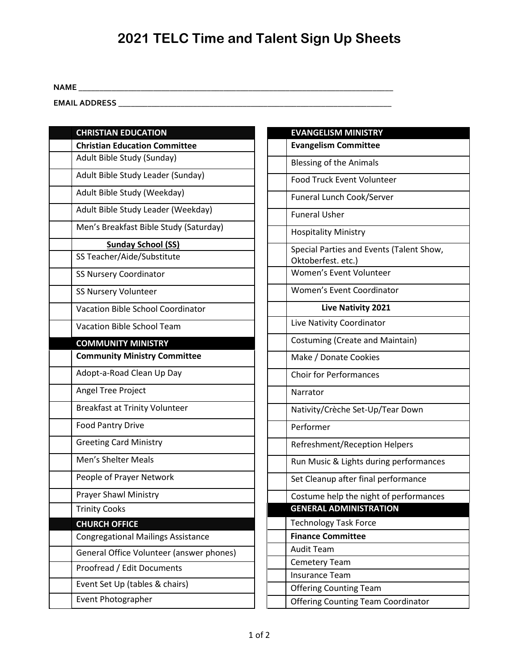## **2021 TELC Time and Talent Sign Up Sheets**

## **NAME \_\_\_\_\_\_\_\_\_\_\_\_\_\_\_\_\_\_\_\_\_\_\_\_\_\_\_\_\_\_\_\_\_\_\_\_\_\_\_\_\_\_\_\_\_\_\_\_\_\_\_\_\_\_\_\_\_\_\_\_\_\_\_\_\_\_\_\_\_\_\_\_\_\_\_\_**

**EMAIL ADDRESS \_\_\_\_\_\_\_\_\_\_\_\_\_\_\_\_\_\_\_\_\_\_\_\_\_\_\_\_\_\_\_\_\_\_\_\_\_\_\_\_\_\_\_\_\_\_\_\_\_\_\_\_\_\_\_\_\_\_\_\_\_\_\_\_\_\_**

| <b>CHRISTIAN EDUCATION</b>                |
|-------------------------------------------|
| <b>Christian Education Committee</b>      |
| Adult Bible Study (Sunday)                |
| Adult Bible Study Leader (Sunday)         |
| Adult Bible Study (Weekday)               |
| Adult Bible Study Leader (Weekday)        |
| Men's Breakfast Bible Study (Saturday)    |
| <b>Sunday School (SS)</b>                 |
| SS Teacher/Aide/Substitute                |
| <b>SS Nursery Coordinator</b>             |
| <b>SS Nursery Volunteer</b>               |
| <b>Vacation Bible School Coordinator</b>  |
| Vacation Bible School Team                |
| <b>COMMUNITY MINISTRY</b>                 |
| <b>Community Ministry Committee</b>       |
| Adopt-a-Road Clean Up Day                 |
| Angel Tree Project                        |
| <b>Breakfast at Trinity Volunteer</b>     |
| <b>Food Pantry Drive</b>                  |
| <b>Greeting Card Ministry</b>             |
| Men's Shelter Meals                       |
| People of Prayer Network                  |
| <b>Prayer Shawl Ministry</b>              |
| <b>Trinity Cooks</b>                      |
| <b>CHURCH OFFICE</b>                      |
| <b>Congregational Mailings Assistance</b> |
| General Office Volunteer (answer phones)  |
| Proofread / Edit Documents                |
| Event Set Up (tables & chairs)            |
| <b>Event Photographer</b>                 |
|                                           |

| <b>EVANGELISM MINISTRY</b>                                     |
|----------------------------------------------------------------|
| <b>Evangelism Committee</b>                                    |
| <b>Blessing of the Animals</b>                                 |
| <b>Food Truck Event Volunteer</b>                              |
| Funeral Lunch Cook/Server                                      |
| <b>Funeral Usher</b>                                           |
| <b>Hospitality Ministry</b>                                    |
| Special Parties and Events (Talent Show,<br>Oktoberfest. etc.) |
| Women's Event Volunteer                                        |
| Women's Event Coordinator                                      |
| <b>Live Nativity 2021</b>                                      |
| Live Nativity Coordinator                                      |
| Costuming (Create and Maintain)                                |
| Make / Donate Cookies                                          |
| <b>Choir for Performances</b>                                  |
| Narrator                                                       |
| Nativity/Crèche Set-Up/Tear Down                               |
| Performer                                                      |
| Refreshment/Reception Helpers                                  |
| Run Music & Lights during performances                         |
| Set Cleanup after final performance                            |
| Costume help the night of performances                         |
| <b>GENERAL ADMINISTRATION</b>                                  |
| <b>Technology Task Force</b>                                   |
| <b>Finance Committee</b>                                       |
| <b>Audit Team</b>                                              |
| <b>Cemetery Team</b>                                           |
| <b>Insurance Team</b>                                          |
| <b>Offering Counting Team</b>                                  |
| <b>Offering Counting Team Coordinator</b>                      |